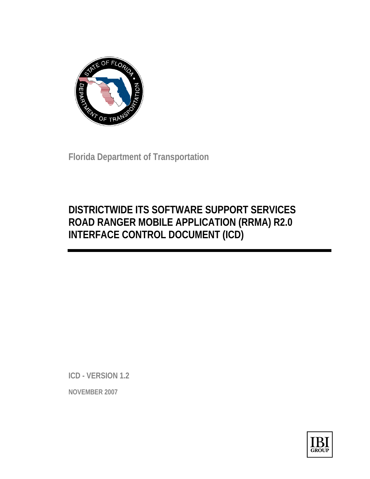

**Florida Department of Transportation** 

# **DISTRICTWIDE ITS SOFTWARE SUPPORT SERVICES ROAD RANGER MOBILE APPLICATION (RRMA) R2.0 INTERFACE CONTROL DOCUMENT (ICD)**

**ICD - VERSION 1.2** 

**NOVEMBER 2007** 

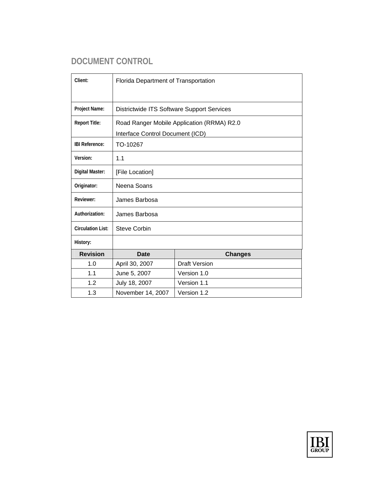# **DOCUMENT CONTROL**

| Client:                  | Florida Department of Transportation                                           |                      |  |  |  |
|--------------------------|--------------------------------------------------------------------------------|----------------------|--|--|--|
| Project Name:            | Districtwide ITS Software Support Services                                     |                      |  |  |  |
| <b>Report Title:</b>     | Road Ranger Mobile Application (RRMA) R2.0<br>Interface Control Document (ICD) |                      |  |  |  |
| <b>IBI Reference:</b>    | TO-10267                                                                       |                      |  |  |  |
| Version:                 | 1.1                                                                            |                      |  |  |  |
| Digital Master:          | [File Location]                                                                |                      |  |  |  |
| Originator:              | Neena Soans                                                                    |                      |  |  |  |
| Reviewer:                | James Barbosa                                                                  |                      |  |  |  |
| Authorization:           | James Barbosa                                                                  |                      |  |  |  |
| <b>Circulation List:</b> | <b>Steve Corbin</b>                                                            |                      |  |  |  |
| History:                 |                                                                                |                      |  |  |  |
| <b>Revision</b>          | <b>Date</b>                                                                    | <b>Changes</b>       |  |  |  |
| 1.0                      | April 30, 2007                                                                 | <b>Draft Version</b> |  |  |  |
| 1.1                      | June 5, 2007                                                                   | Version 1.0          |  |  |  |
| 1.2                      | July 18, 2007                                                                  | Version 1.1          |  |  |  |
| 1.3                      | November 14, 2007                                                              | Version 1.2          |  |  |  |

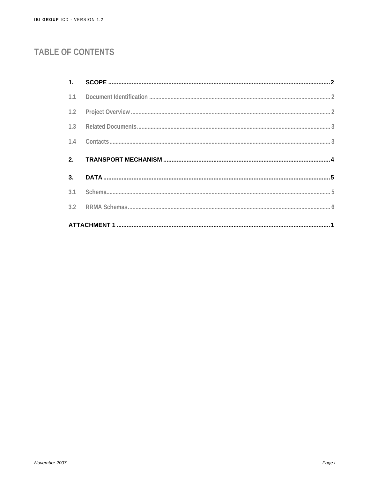# **TABLE OF CONTENTS**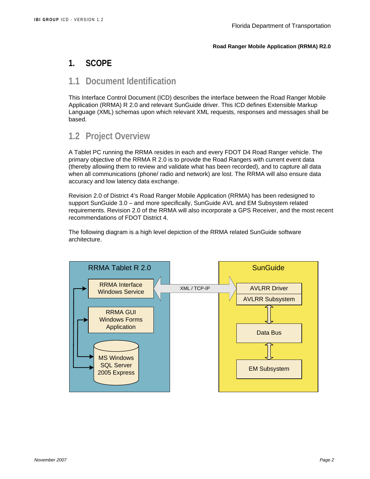## **1. SCOPE**

## **1.1 Document Identification**

This Interface Control Document (ICD) describes the interface between the Road Ranger Mobile Application (RRMA) R 2.0 and relevant SunGuide driver. This ICD defines Extensible Markup Language (XML) schemas upon which relevant XML requests, responses and messages shall be based.

# **1.2 Project Overview**

A Tablet PC running the RRMA resides in each and every FDOT D4 Road Ranger vehicle. The primary objective of the RRMA R 2.0 is to provide the Road Rangers with current event data (thereby allowing them to review and validate what has been recorded), and to capture all data when all communications (phone/ radio and network) are lost. The RRMA will also ensure data accuracy and low latency data exchange.

Revision 2.0 of District 4's Road Ranger Mobile Application (RRMA) has been redesigned to support SunGuide 3.0 – and more specifically, SunGuide AVL and EM Subsystem related requirements. Revision 2.0 of the RRMA will also incorporate a GPS Receiver, and the most recent recommendations of FDOT District 4.

The following diagram is a high level depiction of the RRMA related SunGuide software architecture.

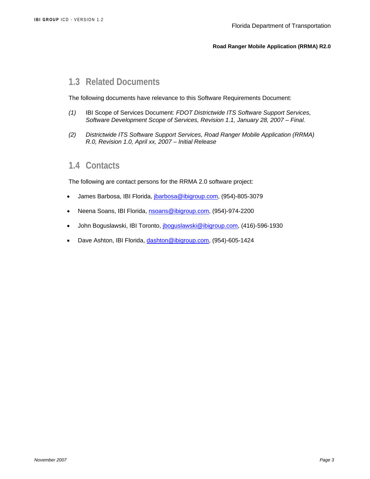# **1.3 Related Documents**

The following documents have relevance to this Software Requirements Document:

- *(1)* IBI Scope of Services Document: *FDOT Districtwide ITS Software Support Services, Software Development Scope of Services, Revision 1.1, January 28, 2007 – Final.*
- *(2) Districtwide ITS Software Support Services, Road Ranger Mobile Application (RRMA) R.0, Revision 1.0, April xx, 2007 – Initial Release*

### **1.4 Contacts**

The following are contact persons for the RRMA 2.0 software project:

- James Barbosa, IBI Florida, *jbarbosa@ibigroup.com*, (954)-805-3079
- Neena Soans, IBI Florida, nsoans@ibigroup.com, (954)-974-2200
- John Boguslawski, IBI Toronto, jboguslawski@ibigroup.com, (416)-596-1930
- Dave Ashton, IBI Florida, dashton@ibigroup.com, (954)-605-1424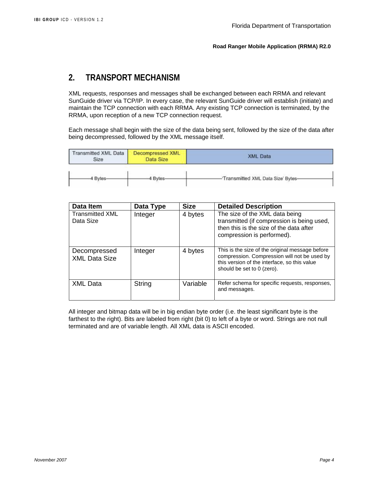## **2. TRANSPORT MECHANISM**

XML requests, responses and messages shall be exchanged between each RRMA and relevant SunGuide driver via TCP/IP. In every case, the relevant SunGuide driver will establish (initiate) and maintain the TCP connection with each RRMA. Any existing TCP connection is terminated, by the RRMA, upon reception of a new TCP connection request.

Each message shall begin with the size of the data being sent, followed by the size of the data after being decompressed, followed by the XML message itself.

| <b>Transmitted XML Data</b><br>Size | <b>Decompressed XML</b><br>Data Size | <b>XML Data</b>                    |
|-------------------------------------|--------------------------------------|------------------------------------|
| 4 Bytes-                            | 4 Bytes                              | 'Transmitted XML Data Size' Bytes- |

| Data Item                            | Data Type | <b>Size</b> | <b>Detailed Description</b>                                                                                                                                                   |  |  |  |  |
|--------------------------------------|-----------|-------------|-------------------------------------------------------------------------------------------------------------------------------------------------------------------------------|--|--|--|--|
| <b>Transmitted XML</b><br>Data Size  | Integer   | 4 bytes     | The size of the XML data being<br>transmitted (if compression is being used,<br>then this is the size of the data after<br>compression is performed).                         |  |  |  |  |
| Decompressed<br><b>XML Data Size</b> | Integer   | 4 bytes     | This is the size of the original message before<br>compression. Compression will not be used by<br>this version of the interface, so this value<br>should be set to 0 (zero). |  |  |  |  |
| <b>XML Data</b>                      | String    | Variable    | Refer schema for specific requests, responses,<br>and messages.                                                                                                               |  |  |  |  |

All integer and bitmap data will be in big endian byte order (i.e. the least significant byte is the farthest to the right). Bits are labeled from right (bit 0) to left of a byte or word. Strings are not null terminated and are of variable length. All XML data is ASCII encoded.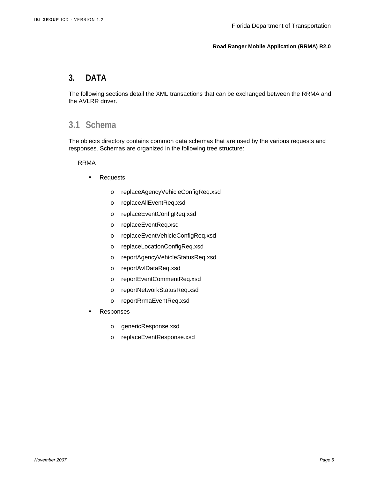### **3. DATA**

The following sections detail the XML transactions that can be exchanged between the RRMA and the AVLRR driver.

## **3.1 Schema**

The objects directory contains common data schemas that are used by the various requests and responses. Schemas are organized in the following tree structure:

RRMA

- **Requests** 
	- o replaceAgencyVehicleConfigReq.xsd
	- o replaceAllEventReq.xsd
	- o replaceEventConfigReq.xsd
	- o replaceEventReq.xsd
	- o replaceEventVehicleConfigReq.xsd
	- o replaceLocationConfigReq.xsd
	- o reportAgencyVehicleStatusReq.xsd
	- o reportAvlDataReq.xsd
	- o reportEventCommentReq.xsd
	- o reportNetworkStatusReq.xsd
	- o reportRrmaEventReq.xsd
- Responses
	- o genericResponse.xsd
	- o replaceEventResponse.xsd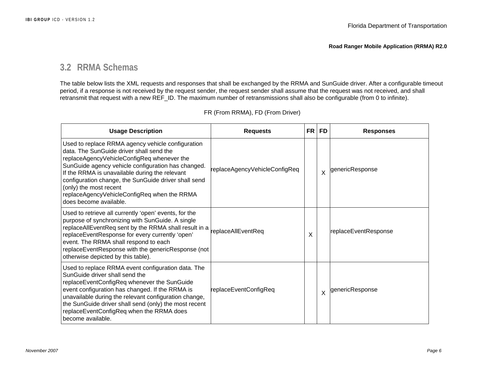## **3.2 RRMA Schemas**

The table below lists the XML requests and responses that shall be exchanged by the RRMA and SunGuide driver. After a configurable timeout period, if a response is not received by the request sender, the request sender shall assume that the request was not received, and shall retransmit that request with a new REF\_ID. The maximum number of retransmissions shall also be configurable (from 0 to infinite).

| <b>Usage Description</b> |                                                                                                                                                                                                                                                                                                                                                                                                                | <b>FR</b><br><b>Requests</b>  |   | <b>FD</b>                 | <b>Responses</b>     |
|--------------------------|----------------------------------------------------------------------------------------------------------------------------------------------------------------------------------------------------------------------------------------------------------------------------------------------------------------------------------------------------------------------------------------------------------------|-------------------------------|---|---------------------------|----------------------|
|                          | Used to replace RRMA agency vehicle configuration<br>data. The SunGuide driver shall send the<br>replaceAgencyVehicleConfigReq whenever the<br>SunGuide agency vehicle configuration has changed.<br>If the RRMA is unavailable during the relevant<br>configuration change, the SunGuide driver shall send<br>(only) the most recent<br>replaceAgencyVehicleConfigReq when the RRMA<br>does become available. | replaceAgencyVehicleConfigReq |   | $\boldsymbol{\mathsf{x}}$ | genericResponse      |
|                          | Used to retrieve all currently 'open' events, for the<br>purpose of synchronizing with SunGuide. A single<br>replaceAllEventReq sent by the RRMA shall result in a<br>replaceEventResponse for every currently 'open'<br>event. The RRMA shall respond to each<br>replaceEventResponse with the genericResponse (not<br>otherwise depicted by this table).                                                     | replaceAllEventReq            | X |                           | replaceEventResponse |
|                          | Used to replace RRMA event configuration data. The<br>SunGuide driver shall send the<br>replaceEventConfigReq whenever the SunGuide<br>event configuration has changed. If the RRMA is<br>unavailable during the relevant configuration change,<br>the SunGuide driver shall send (only) the most recent<br>replaceEventConfigReq when the RRMA does<br>become available.                                      | replaceEventConfigReq         |   | $\times$                  | genericResponse      |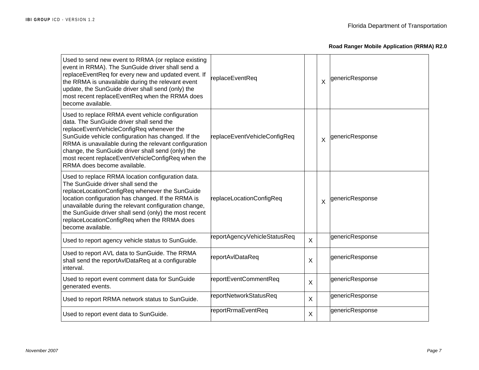| Used to send new event to RRMA (or replace existing<br>event in RRMA). The SunGuide driver shall send a<br>replaceEventReq for every new and updated event. If<br>the RRMA is unavailable during the relevant event<br>update, the SunGuide driver shall send (only) the<br>most recent replaceEventReq when the RRMA does<br>become available.                                                   | replaceEventReq              |              | X       | genericResponse |
|---------------------------------------------------------------------------------------------------------------------------------------------------------------------------------------------------------------------------------------------------------------------------------------------------------------------------------------------------------------------------------------------------|------------------------------|--------------|---------|-----------------|
| Used to replace RRMA event vehicle configuration<br>data. The SunGuide driver shall send the<br>replaceEventVehicleConfigReq whenever the<br>SunGuide vehicle configuration has changed. If the<br>RRMA is unavailable during the relevant configuration<br>change, the SunGuide driver shall send (only) the<br>most recent replaceEventVehicleConfigReq when the<br>RRMA does become available. | replaceEventVehicleConfigReq |              | $\sf X$ | genericResponse |
| Used to replace RRMA location configuration data.<br>The SunGuide driver shall send the<br>replaceLocationConfigReq whenever the SunGuide<br>location configuration has changed. If the RRMA is<br>unavailable during the relevant configuration change,<br>the SunGuide driver shall send (only) the most recent<br>replaceLocationConfigReq when the RRMA does<br>become available.             | replaceLocationConfigReq     |              | X       | genericResponse |
| Used to report agency vehicle status to SunGuide.                                                                                                                                                                                                                                                                                                                                                 | reportAgencyVehicleStatusReq | $\mathsf{X}$ |         | genericResponse |
| Used to report AVL data to SunGuide. The RRMA<br>shall send the reportAvlDataReq at a configurable<br>interval.                                                                                                                                                                                                                                                                                   | reportAvlDataReq             | X            |         | genericResponse |
| Used to report event comment data for SunGuide<br>generated events.                                                                                                                                                                                                                                                                                                                               | reportEventCommentReq        | $\sf X$      |         | genericResponse |
| Used to report RRMA network status to SunGuide.                                                                                                                                                                                                                                                                                                                                                   | reportNetworkStatusReq       | $\mathsf{X}$ |         | genericResponse |
| Used to report event data to SunGuide.                                                                                                                                                                                                                                                                                                                                                            | reportRrmaEventReq           | $\sf X$      |         | genericResponse |